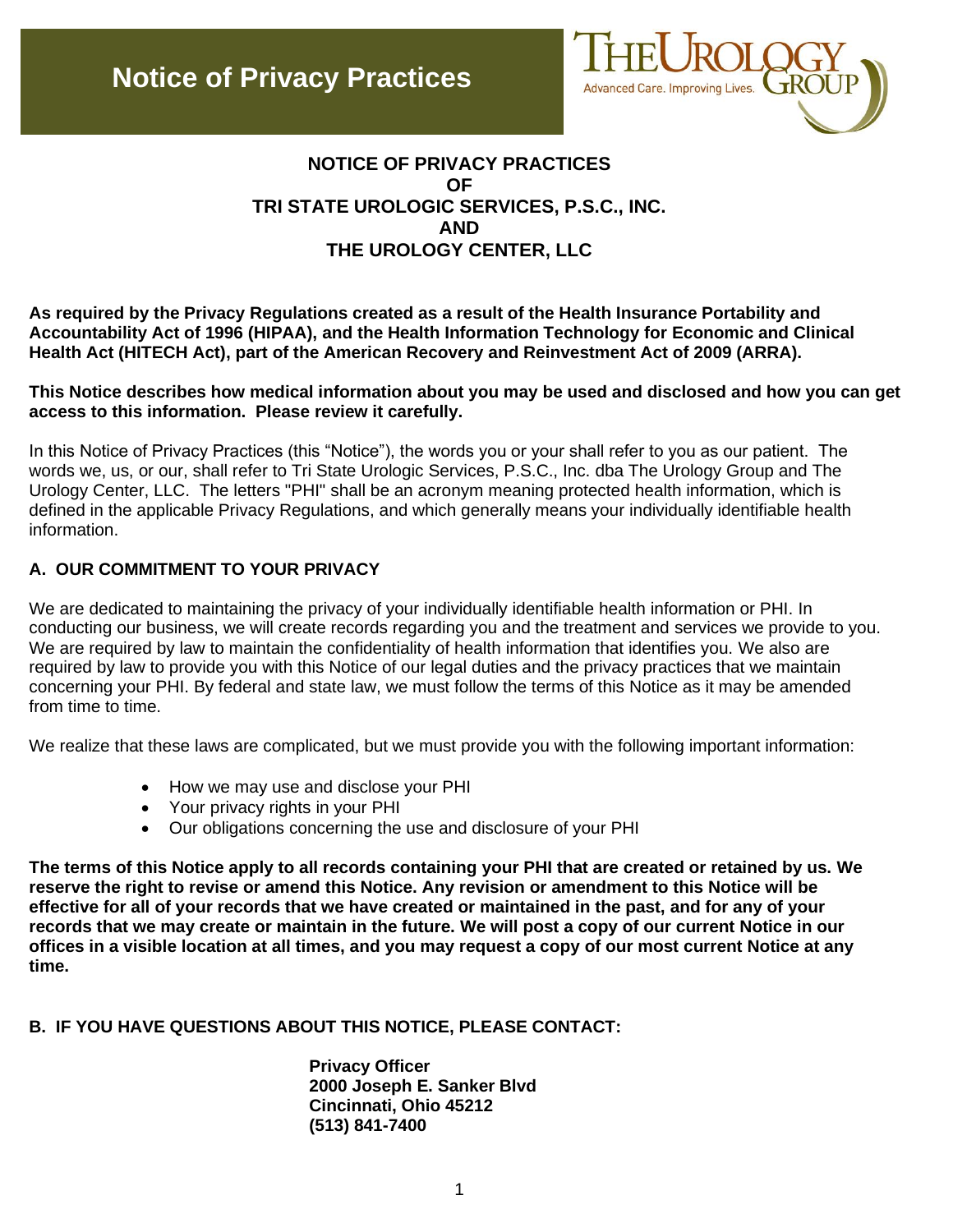

# **NOTICE OF PRIVACY PRACTICES OF TRI STATE UROLOGIC SERVICES, P.S.C., INC. AND THE UROLOGY CENTER, LLC**

**As required by the Privacy Regulations created as a result of the Health Insurance Portability and Accountability Act of 1996 (HIPAA), and the Health Information Technology for Economic and Clinical Health Act (HITECH Act), part of the American Recovery and Reinvestment Act of 2009 (ARRA).**

#### **This Notice describes how medical information about you may be used and disclosed and how you can get access to this information. Please review it carefully.**

In this Notice of Privacy Practices (this "Notice"), the words you or your shall refer to you as our patient. The words we, us, or our, shall refer to Tri State Urologic Services, P.S.C., Inc. dba The Urology Group and The Urology Center, LLC. The letters "PHI" shall be an acronym meaning protected health information, which is defined in the applicable Privacy Regulations, and which generally means your individually identifiable health information.

### **A. OUR COMMITMENT TO YOUR PRIVACY**

We are dedicated to maintaining the privacy of your individually identifiable health information or PHI. In conducting our business, we will create records regarding you and the treatment and services we provide to you. We are required by law to maintain the confidentiality of health information that identifies you. We also are required by law to provide you with this Notice of our legal duties and the privacy practices that we maintain concerning your PHI. By federal and state law, we must follow the terms of this Notice as it may be amended from time to time.

We realize that these laws are complicated, but we must provide you with the following important information:

- How we may use and disclose your PHI
- Your privacy rights in your PHI
- Our obligations concerning the use and disclosure of your PHI

**The terms of this Notice apply to all records containing your PHI that are created or retained by us. We reserve the right to revise or amend this Notice. Any revision or amendment to this Notice will be effective for all of your records that we have created or maintained in the past, and for any of your records that we may create or maintain in the future. We will post a copy of our current Notice in our offices in a visible location at all times, and you may request a copy of our most current Notice at any time.**

### **B. IF YOU HAVE QUESTIONS ABOUT THIS NOTICE, PLEASE CONTACT:**

**Privacy Officer 2000 Joseph E. Sanker Blvd Cincinnati, Ohio 45212 (513) 841-7400**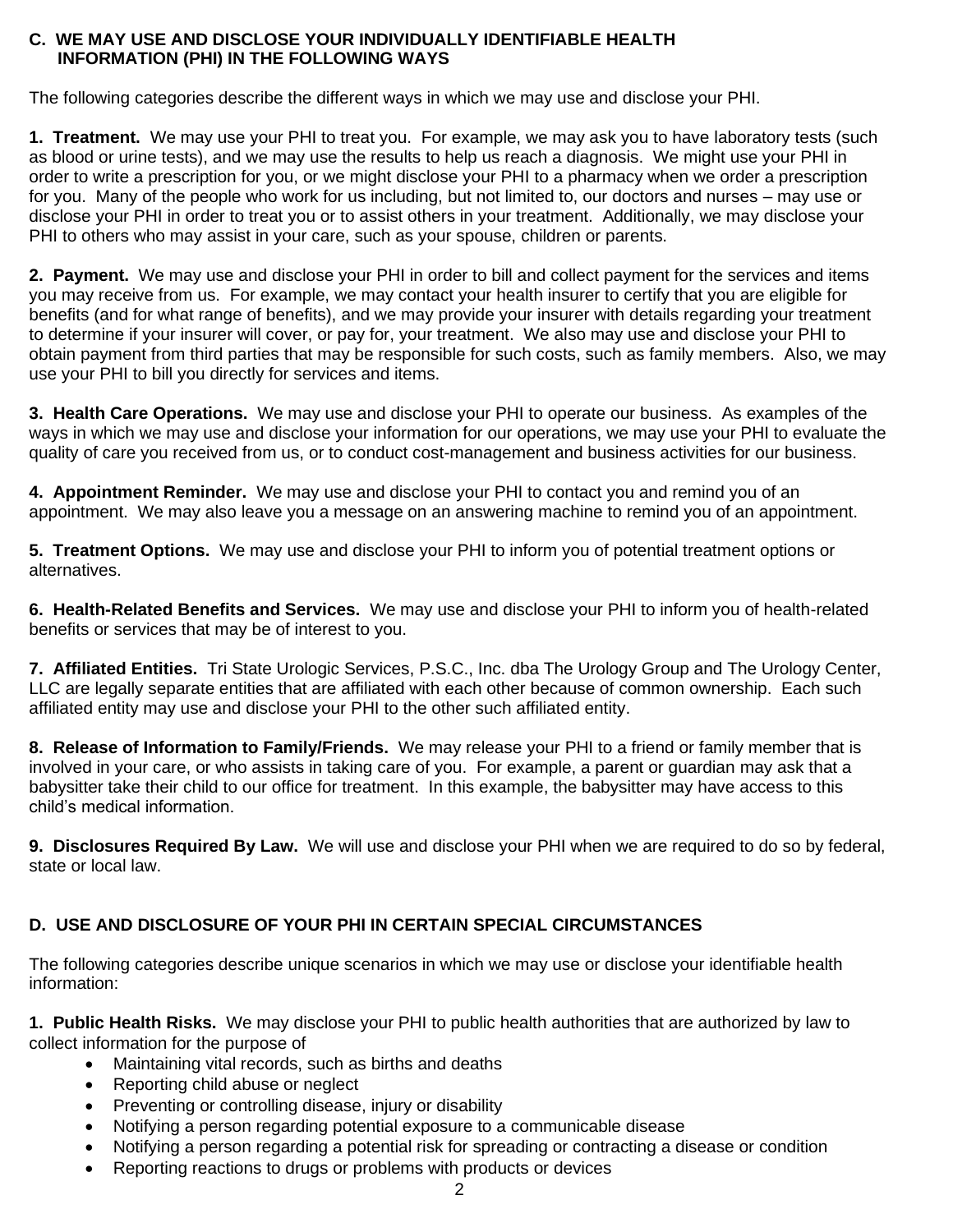#### **C. WE MAY USE AND DISCLOSE YOUR INDIVIDUALLY IDENTIFIABLE HEALTH INFORMATION (PHI) IN THE FOLLOWING WAYS**

The following categories describe the different ways in which we may use and disclose your PHI.

**1. Treatment.** We may use your PHI to treat you. For example, we may ask you to have laboratory tests (such as blood or urine tests), and we may use the results to help us reach a diagnosis. We might use your PHI in order to write a prescription for you, or we might disclose your PHI to a pharmacy when we order a prescription for you. Many of the people who work for us including, but not limited to, our doctors and nurses – may use or disclose your PHI in order to treat you or to assist others in your treatment. Additionally, we may disclose your PHI to others who may assist in your care, such as your spouse, children or parents.

**2. Payment.** We may use and disclose your PHI in order to bill and collect payment for the services and items you may receive from us. For example, we may contact your health insurer to certify that you are eligible for benefits (and for what range of benefits), and we may provide your insurer with details regarding your treatment to determine if your insurer will cover, or pay for, your treatment. We also may use and disclose your PHI to obtain payment from third parties that may be responsible for such costs, such as family members. Also, we may use your PHI to bill you directly for services and items.

**3. Health Care Operations.** We may use and disclose your PHI to operate our business. As examples of the ways in which we may use and disclose your information for our operations, we may use your PHI to evaluate the quality of care you received from us, or to conduct cost-management and business activities for our business.

**4. Appointment Reminder.** We may use and disclose your PHI to contact you and remind you of an appointment. We may also leave you a message on an answering machine to remind you of an appointment.

**5. Treatment Options.** We may use and disclose your PHI to inform you of potential treatment options or alternatives.

**6. Health-Related Benefits and Services.** We may use and disclose your PHI to inform you of health-related benefits or services that may be of interest to you.

**7. Affiliated Entities.** Tri State Urologic Services, P.S.C., Inc. dba The Urology Group and The Urology Center, LLC are legally separate entities that are affiliated with each other because of common ownership. Each such affiliated entity may use and disclose your PHI to the other such affiliated entity.

**8. Release of Information to Family/Friends.** We may release your PHI to a friend or family member that is involved in your care, or who assists in taking care of you. For example, a parent or guardian may ask that a babysitter take their child to our office for treatment. In this example, the babysitter may have access to this child's medical information.

**9. Disclosures Required By Law.** We will use and disclose your PHI when we are required to do so by federal, state or local law.

# **D. USE AND DISCLOSURE OF YOUR PHI IN CERTAIN SPECIAL CIRCUMSTANCES**

The following categories describe unique scenarios in which we may use or disclose your identifiable health information:

**1. Public Health Risks.** We may disclose your PHI to public health authorities that are authorized by law to collect information for the purpose of

- Maintaining vital records, such as births and deaths
- Reporting child abuse or neglect
- Preventing or controlling disease, injury or disability
- Notifying a person regarding potential exposure to a communicable disease
- Notifying a person regarding a potential risk for spreading or contracting a disease or condition
- Reporting reactions to drugs or problems with products or devices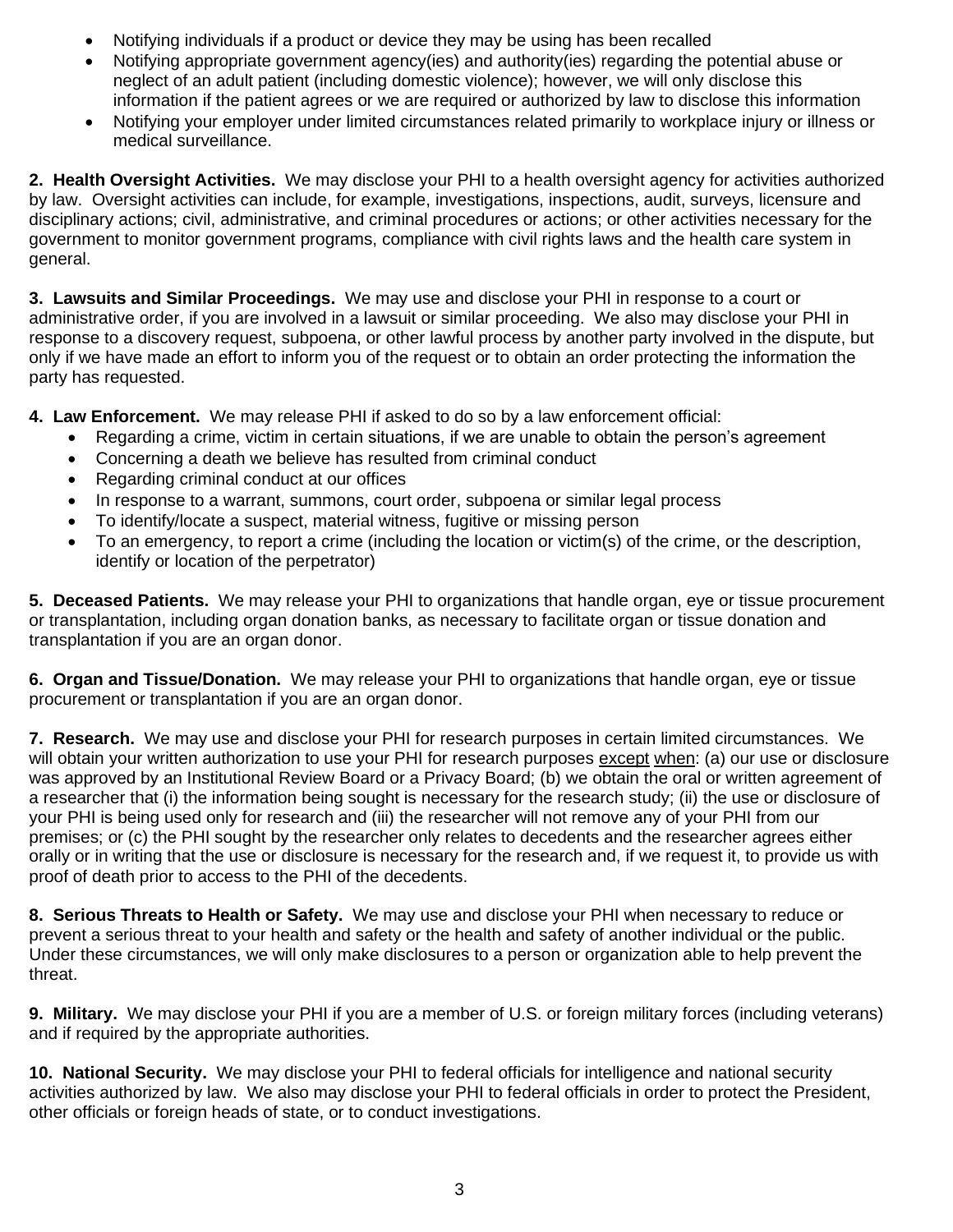- Notifying individuals if a product or device they may be using has been recalled
- Notifying appropriate government agency(ies) and authority(ies) regarding the potential abuse or neglect of an adult patient (including domestic violence); however, we will only disclose this information if the patient agrees or we are required or authorized by law to disclose this information
- Notifying your employer under limited circumstances related primarily to workplace injury or illness or medical surveillance.

**2. Health Oversight Activities.** We may disclose your PHI to a health oversight agency for activities authorized by law. Oversight activities can include, for example, investigations, inspections, audit, surveys, licensure and disciplinary actions; civil, administrative, and criminal procedures or actions; or other activities necessary for the government to monitor government programs, compliance with civil rights laws and the health care system in general.

**3. Lawsuits and Similar Proceedings.** We may use and disclose your PHI in response to a court or administrative order, if you are involved in a lawsuit or similar proceeding. We also may disclose your PHI in response to a discovery request, subpoena, or other lawful process by another party involved in the dispute, but only if we have made an effort to inform you of the request or to obtain an order protecting the information the party has requested.

**4. Law Enforcement.** We may release PHI if asked to do so by a law enforcement official:

- Regarding a crime, victim in certain situations, if we are unable to obtain the person's agreement
- Concerning a death we believe has resulted from criminal conduct
- Regarding criminal conduct at our offices
- In response to a warrant, summons, court order, subpoena or similar legal process
- To identify/locate a suspect, material witness, fugitive or missing person
- To an emergency, to report a crime (including the location or victim(s) of the crime, or the description, identify or location of the perpetrator)

**5. Deceased Patients.** We may release your PHI to organizations that handle organ, eye or tissue procurement or transplantation, including organ donation banks, as necessary to facilitate organ or tissue donation and transplantation if you are an organ donor.

**6. Organ and Tissue/Donation.** We may release your PHI to organizations that handle organ, eye or tissue procurement or transplantation if you are an organ donor.

**7. Research.** We may use and disclose your PHI for research purposes in certain limited circumstances. We will obtain your written authorization to use your PHI for research purposes except when: (a) our use or disclosure was approved by an Institutional Review Board or a Privacy Board; (b) we obtain the oral or written agreement of a researcher that (i) the information being sought is necessary for the research study; (ii) the use or disclosure of your PHI is being used only for research and (iii) the researcher will not remove any of your PHI from our premises; or (c) the PHI sought by the researcher only relates to decedents and the researcher agrees either orally or in writing that the use or disclosure is necessary for the research and, if we request it, to provide us with proof of death prior to access to the PHI of the decedents.

**8. Serious Threats to Health or Safety.** We may use and disclose your PHI when necessary to reduce or prevent a serious threat to your health and safety or the health and safety of another individual or the public. Under these circumstances, we will only make disclosures to a person or organization able to help prevent the threat.

**9. Military.** We may disclose your PHI if you are a member of U.S. or foreign military forces (including veterans) and if required by the appropriate authorities.

**10. National Security.** We may disclose your PHI to federal officials for intelligence and national security activities authorized by law. We also may disclose your PHI to federal officials in order to protect the President, other officials or foreign heads of state, or to conduct investigations.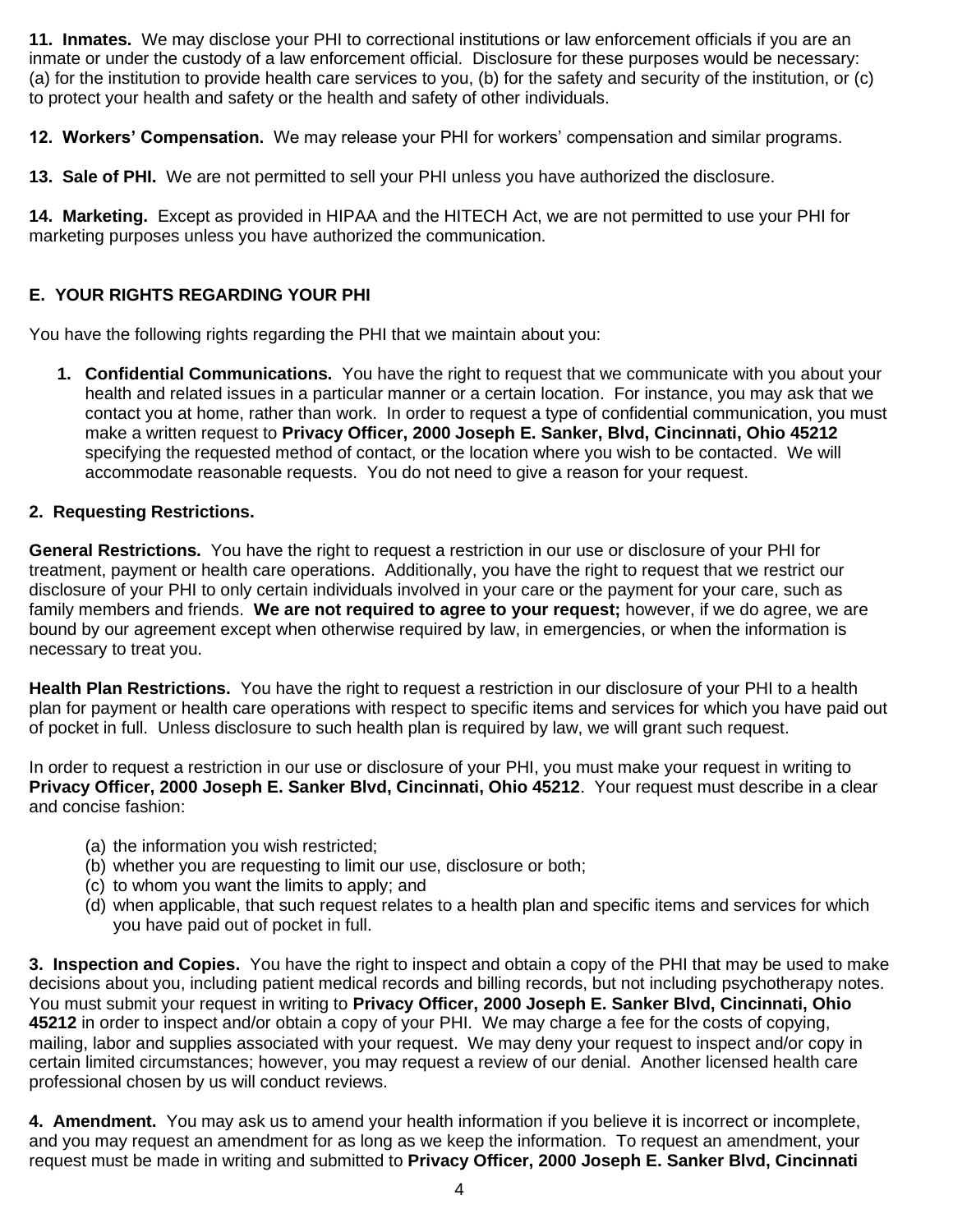**11. Inmates.** We may disclose your PHI to correctional institutions or law enforcement officials if you are an inmate or under the custody of a law enforcement official. Disclosure for these purposes would be necessary: (a) for the institution to provide health care services to you, (b) for the safety and security of the institution, or (c) to protect your health and safety or the health and safety of other individuals.

**12. Workers' Compensation.** We may release your PHI for workers' compensation and similar programs.

**13. Sale of PHI.** We are not permitted to sell your PHI unless you have authorized the disclosure.

**14. Marketing.** Except as provided in HIPAA and the HITECH Act, we are not permitted to use your PHI for marketing purposes unless you have authorized the communication.

# **E. YOUR RIGHTS REGARDING YOUR PHI**

You have the following rights regarding the PHI that we maintain about you:

**1. Confidential Communications.** You have the right to request that we communicate with you about your health and related issues in a particular manner or a certain location. For instance, you may ask that we contact you at home, rather than work. In order to request a type of confidential communication, you must make a written request to **Privacy Officer, 2000 Joseph E. Sanker, Blvd, Cincinnati, Ohio 45212**  specifying the requested method of contact, or the location where you wish to be contacted. We will accommodate reasonable requests. You do not need to give a reason for your request.

### **2. Requesting Restrictions.**

**General Restrictions.** You have the right to request a restriction in our use or disclosure of your PHI for treatment, payment or health care operations. Additionally, you have the right to request that we restrict our disclosure of your PHI to only certain individuals involved in your care or the payment for your care, such as family members and friends. **We are not required to agree to your request;** however, if we do agree, we are bound by our agreement except when otherwise required by law, in emergencies, or when the information is necessary to treat you.

**Health Plan Restrictions.** You have the right to request a restriction in our disclosure of your PHI to a health plan for payment or health care operations with respect to specific items and services for which you have paid out of pocket in full. Unless disclosure to such health plan is required by law, we will grant such request.

In order to request a restriction in our use or disclosure of your PHI, you must make your request in writing to **Privacy Officer, 2000 Joseph E. Sanker Blvd, Cincinnati, Ohio 45212**. Your request must describe in a clear and concise fashion:

- (a) the information you wish restricted;
- (b) whether you are requesting to limit our use, disclosure or both;
- (c) to whom you want the limits to apply; and
- (d) when applicable, that such request relates to a health plan and specific items and services for which you have paid out of pocket in full.

**3. Inspection and Copies.** You have the right to inspect and obtain a copy of the PHI that may be used to make decisions about you, including patient medical records and billing records, but not including psychotherapy notes. You must submit your request in writing to **Privacy Officer, 2000 Joseph E. Sanker Blvd, Cincinnati, Ohio 45212** in order to inspect and/or obtain a copy of your PHI. We may charge a fee for the costs of copying, mailing, labor and supplies associated with your request. We may deny your request to inspect and/or copy in certain limited circumstances; however, you may request a review of our denial. Another licensed health care professional chosen by us will conduct reviews.

**4. Amendment.** You may ask us to amend your health information if you believe it is incorrect or incomplete, and you may request an amendment for as long as we keep the information. To request an amendment, your request must be made in writing and submitted to **Privacy Officer, 2000 Joseph E. Sanker Blvd, Cincinnati**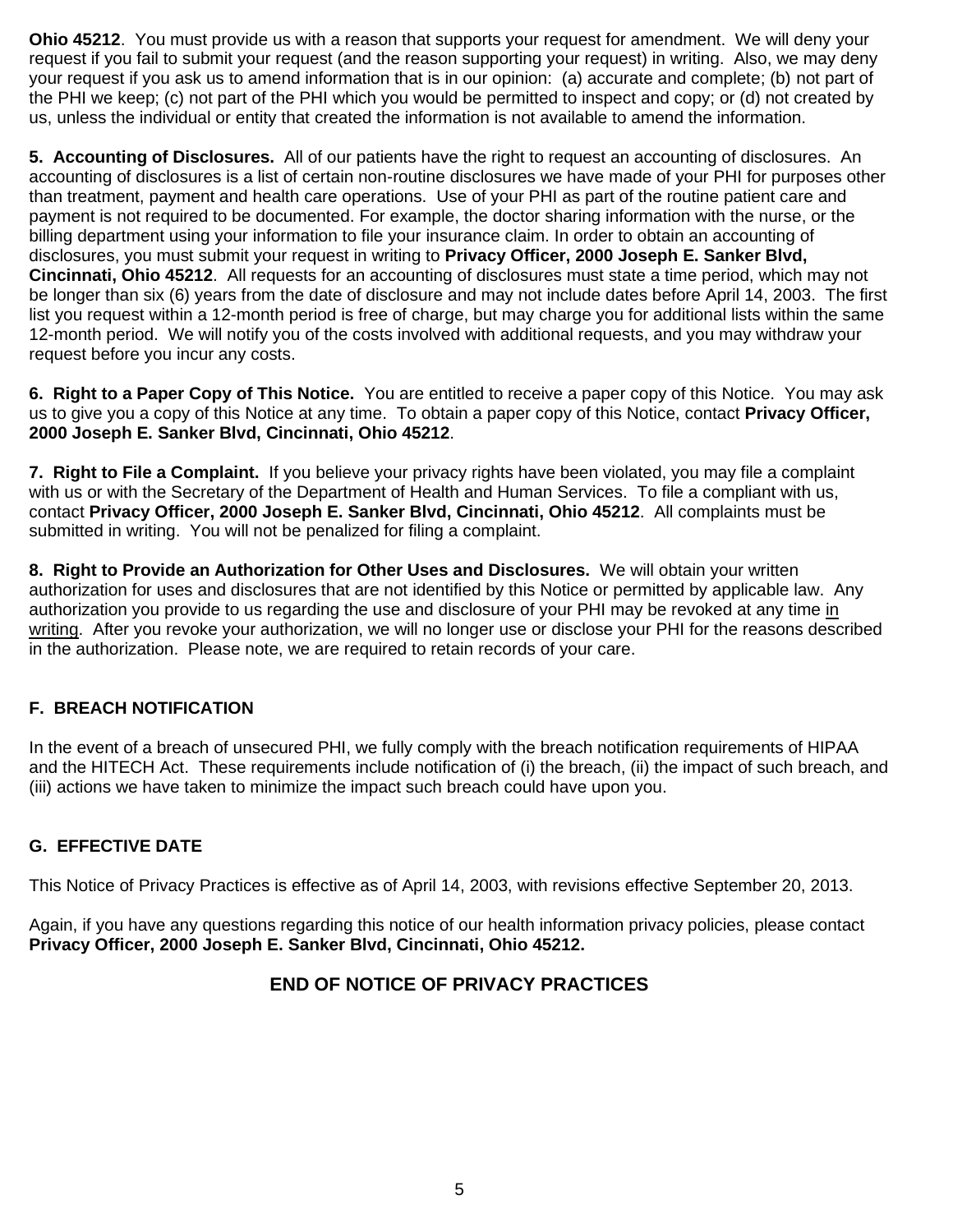**Ohio 45212**. You must provide us with a reason that supports your request for amendment. We will deny your request if you fail to submit your request (and the reason supporting your request) in writing. Also, we may deny your request if you ask us to amend information that is in our opinion: (a) accurate and complete; (b) not part of the PHI we keep; (c) not part of the PHI which you would be permitted to inspect and copy; or (d) not created by us, unless the individual or entity that created the information is not available to amend the information.

**5. Accounting of Disclosures.** All of our patients have the right to request an accounting of disclosures. An accounting of disclosures is a list of certain non-routine disclosures we have made of your PHI for purposes other than treatment, payment and health care operations. Use of your PHI as part of the routine patient care and payment is not required to be documented. For example, the doctor sharing information with the nurse, or the billing department using your information to file your insurance claim. In order to obtain an accounting of disclosures, you must submit your request in writing to **Privacy Officer, 2000 Joseph E. Sanker Blvd, Cincinnati, Ohio 45212**. All requests for an accounting of disclosures must state a time period, which may not be longer than six (6) years from the date of disclosure and may not include dates before April 14, 2003. The first list you request within a 12-month period is free of charge, but may charge you for additional lists within the same 12-month period. We will notify you of the costs involved with additional requests, and you may withdraw your request before you incur any costs.

**6. Right to a Paper Copy of This Notice.** You are entitled to receive a paper copy of this Notice. You may ask us to give you a copy of this Notice at any time. To obtain a paper copy of this Notice, contact **Privacy Officer, 2000 Joseph E. Sanker Blvd, Cincinnati, Ohio 45212**.

**7. Right to File a Complaint.** If you believe your privacy rights have been violated, you may file a complaint with us or with the Secretary of the Department of Health and Human Services. To file a compliant with us, contact **Privacy Officer, 2000 Joseph E. Sanker Blvd, Cincinnati, Ohio 45212**. All complaints must be submitted in writing. You will not be penalized for filing a complaint.

**8. Right to Provide an Authorization for Other Uses and Disclosures.** We will obtain your written authorization for uses and disclosures that are not identified by this Notice or permitted by applicable law. Any authorization you provide to us regarding the use and disclosure of your PHI may be revoked at any time in writing. After you revoke your authorization, we will no longer use or disclose your PHI for the reasons described in the authorization. Please note, we are required to retain records of your care.

# **F. BREACH NOTIFICATION**

In the event of a breach of unsecured PHI, we fully comply with the breach notification requirements of HIPAA and the HITECH Act. These requirements include notification of (i) the breach, (ii) the impact of such breach, and (iii) actions we have taken to minimize the impact such breach could have upon you.

# **G. EFFECTIVE DATE**

This Notice of Privacy Practices is effective as of April 14, 2003, with revisions effective September 20, 2013.

Again, if you have any questions regarding this notice of our health information privacy policies, please contact **Privacy Officer, 2000 Joseph E. Sanker Blvd, Cincinnati, Ohio 45212.**

# **END OF NOTICE OF PRIVACY PRACTICES**